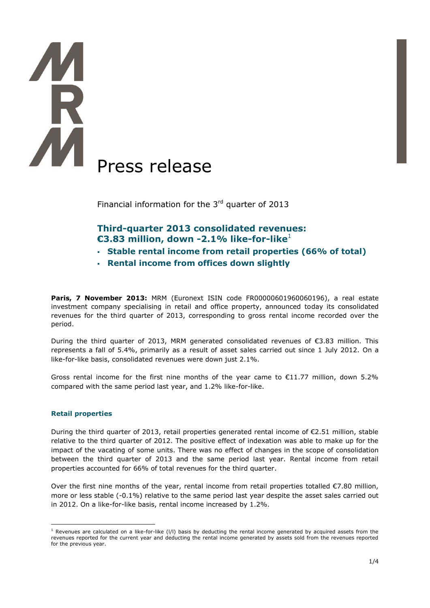# Press release

Financial information for the  $3<sup>rd</sup>$  quarter of 2013

# **Third-quarter 2013 consolidated revenues: €3.83 million, down -2.1% like-for-like**<sup>1</sup>

- **Stable rental income from retail properties (66% of total)**
- **Rental income from offices down slightly**

Paris, 7 November 2013: MRM (Euronext ISIN code FR00000601960060196), a real estate investment company specialising in retail and office property, announced today its consolidated revenues for the third quarter of 2013, corresponding to gross rental income recorded over the period.

During the third quarter of 2013, MRM generated consolidated revenues of €3.83 million. This represents a fall of 5.4%, primarily as a result of asset sales carried out since 1 July 2012. On a like-for-like basis, consolidated revenues were down just 2.1%.

Gross rental income for the first nine months of the year came to  $E11.77$  million, down 5.2% compared with the same period last year, and 1.2% like-for-like.

# **Retail properties**

During the third quarter of 2013, retail properties generated rental income of €2.51 million, stable relative to the third quarter of 2012. The positive effect of indexation was able to make up for the impact of the vacating of some units. There was no effect of changes in the scope of consolidation between the third quarter of 2013 and the same period last year. Rental income from retail properties accounted for 66% of total revenues for the third quarter.

Over the first nine months of the year, rental income from retail properties totalled  $\epsilon$ 7.80 million, more or less stable (-0.1%) relative to the same period last year despite the asset sales carried out in 2012. On a like-for-like basis, rental income increased by 1.2%.

<sup>1</sup> <sup>1</sup> Revenues are calculated on a like-for-like (I/I) basis by deducting the rental income generated by acquired assets from the revenues reported for the current year and deducting the rental income generated by assets sold from the revenues reported for the previous year.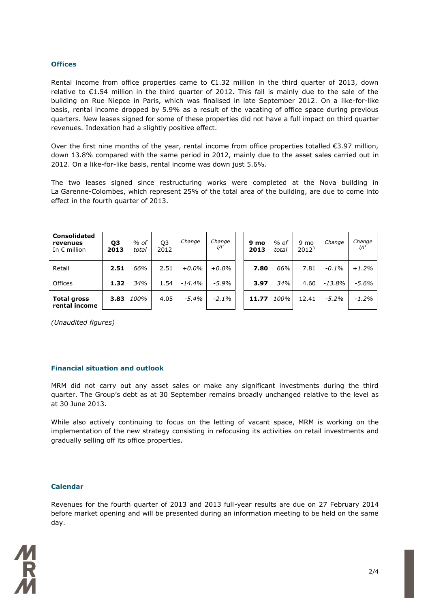### **Offices**

Rental income from office properties came to  $\epsilon$ 1.32 million in the third quarter of 2013, down relative to €1.54 million in the third quarter of 2012. This fall is mainly due to the sale of the building on Rue Niepce in Paris, which was finalised in late September 2012. On a like-for-like basis, rental income dropped by 5.9% as a result of the vacating of office space during previous quarters. New leases signed for some of these properties did not have a full impact on third quarter revenues. Indexation had a slightly positive effect.

Over the first nine months of the year, rental income from office properties totalled  $\epsilon$ 3.97 million, down 13.8% compared with the same period in 2012, mainly due to the asset sales carried out in 2012. On a like-for-like basis, rental income was down just 5.6%.

The two leases signed since restructuring works were completed at the Nova building in La Garenne-Colombes, which represent 25% of the total area of the building, are due to come into effect in the fourth quarter of 2013.

| <b>Consolidated</b><br>revenues<br>In $\epsilon$ million | Q <sub>3</sub><br>2013 | $%$ of<br>total | Q <sub>3</sub><br>2012 | Change    | Change<br>$1/I^1$ | 9 mo<br>2013 | $%$ of<br>total | 9 mo<br>$2012^3$ | Change   | Change<br>$1/I^1$ |
|----------------------------------------------------------|------------------------|-----------------|------------------------|-----------|-------------------|--------------|-----------------|------------------|----------|-------------------|
| Retail                                                   | 2.51                   | 66%             | 2.51                   | $+0.0\%$  | $+0.0\%$          | 7.80         | 66%             | 7.81             | $-0.1\%$ | $+1.2%$           |
| <b>Offices</b>                                           | 1.32                   | 34%             | 1.54                   | $-14.4\%$ | $-5.9%$           | 3.97         | 34%             | 4.60             | -13.8%   | $-5.6\%$          |
| <b>Total gross</b><br>rental income                      | 3.83                   | 100%            | 4.05                   | $-5.4\%$  | $-2.1\%$          | 11.77        | 100%            | 12.41            | $-5.2\%$ | $-1.2%$           |

*(Unaudited figures)*

# **Financial situation and outlook**

MRM did not carry out any asset sales or make any significant investments during the third quarter. The Group's debt as at 30 September remains broadly unchanged relative to the level as at 30 June 2013.

While also actively continuing to focus on the letting of vacant space, MRM is working on the implementation of the new strategy consisting in refocusing its activities on retail investments and gradually selling off its office properties.

### **Calendar**

Revenues for the fourth quarter of 2013 and 2013 full-year results are due on 27 February 2014 before market opening and will be presented during an information meeting to be held on the same day.

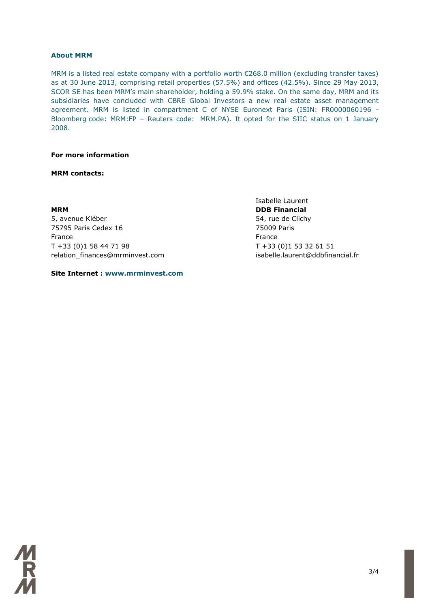### **About MRM**

MRM is a listed real estate company with a portfolio worth €268.0 million (excluding transfer taxes) as at 30 June 2013, comprising retail properties (57.5%) and offices (42.5%). Since 29 May 2013, SCOR SE has been MRM's main shareholder, holding a 59.9% stake. On the same day, MRM and its subsidiaries have concluded with CBRE Global Investors a new real estate asset management agreement. MRM is listed in compartment C of NYSE Euronext Paris (ISIN: FR0000060196 - Bloomberg code: MRM:FP – Reuters code: MRM.PA). It opted for the SIIC status on 1 January 2008.

### **For more information**

### **MRM contacts:**

5, avenue Kléber 54, rue de Clichy 75795 Paris Cedex 16 75009 Paris France **France France France** T +33 (0)1 58 44 71 98 T +33 (0)1 53 32 61 51 relation\_finances@mrminvest.com isabelle.laurent@ddbfinancial.fr

**Site Internet : www.mrminvest.com**

Isabelle Laurent **MRM** DDB Financial